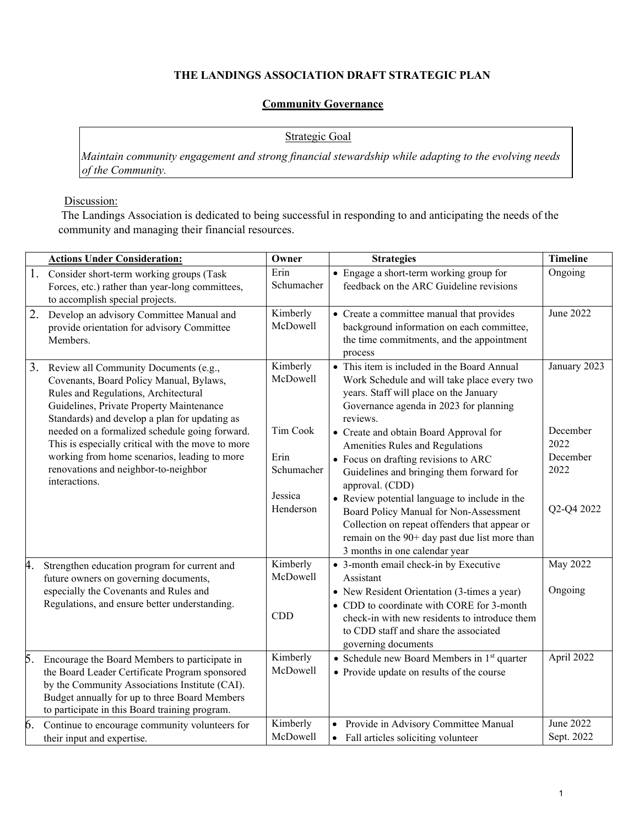## **Community Governance**

# Strategic Goal

*Maintain community engagement and strong financial stewardship while adapting to the evolving needs of the Community.* 

### Discussion:

 The Landings Association is dedicated to being successful in responding to and anticipating the needs of the community and managing their financial resources.

|    | <b>Actions Under Consideration:</b>                                                                                                                                                                                                                                                                                                                                                                                                   | Owner                                                                          | <b>Strategies</b>                                                                                                                                                                                                                                                                                                                                                                                                                                                                                                                                                                                            | <b>Timeline</b>                                                    |
|----|---------------------------------------------------------------------------------------------------------------------------------------------------------------------------------------------------------------------------------------------------------------------------------------------------------------------------------------------------------------------------------------------------------------------------------------|--------------------------------------------------------------------------------|--------------------------------------------------------------------------------------------------------------------------------------------------------------------------------------------------------------------------------------------------------------------------------------------------------------------------------------------------------------------------------------------------------------------------------------------------------------------------------------------------------------------------------------------------------------------------------------------------------------|--------------------------------------------------------------------|
| 1. | Consider short-term working groups (Task<br>Forces, etc.) rather than year-long committees,<br>to accomplish special projects.                                                                                                                                                                                                                                                                                                        | Erin<br>Schumacher                                                             | • Engage a short-term working group for<br>feedback on the ARC Guideline revisions                                                                                                                                                                                                                                                                                                                                                                                                                                                                                                                           | Ongoing                                                            |
| 2. | Develop an advisory Committee Manual and<br>provide orientation for advisory Committee<br>Members.                                                                                                                                                                                                                                                                                                                                    | Kimberly<br>McDowell                                                           | • Create a committee manual that provides<br>background information on each committee,<br>the time commitments, and the appointment<br>process                                                                                                                                                                                                                                                                                                                                                                                                                                                               | June 2022                                                          |
| 3. | Review all Community Documents (e.g.,<br>Covenants, Board Policy Manual, Bylaws,<br>Rules and Regulations, Architectural<br>Guidelines, Private Property Maintenance<br>Standards) and develop a plan for updating as<br>needed on a formalized schedule going forward.<br>This is especially critical with the move to more<br>working from home scenarios, leading to more<br>renovations and neighbor-to-neighbor<br>interactions. | Kimberly<br>McDowell<br>Tim Cook<br>Erin<br>Schumacher<br>Jessica<br>Henderson | • This item is included in the Board Annual<br>Work Schedule and will take place every two<br>years. Staff will place on the January<br>Governance agenda in 2023 for planning<br>reviews.<br>• Create and obtain Board Approval for<br>Amenities Rules and Regulations<br>• Focus on drafting revisions to ARC<br>Guidelines and bringing them forward for<br>approval. (CDD)<br>• Review potential language to include in the<br>Board Policy Manual for Non-Assessment<br>Collection on repeat offenders that appear or<br>remain on the 90+ day past due list more than<br>3 months in one calendar year | January 2023<br>December<br>2022<br>December<br>2022<br>Q2-Q4 2022 |
|    | Strengthen education program for current and<br>future owners on governing documents,<br>especially the Covenants and Rules and<br>Regulations, and ensure better understanding.                                                                                                                                                                                                                                                      | Kimberly<br>McDowell<br><b>CDD</b>                                             | • 3-month email check-in by Executive<br>Assistant<br>• New Resident Orientation (3-times a year)<br>• CDD to coordinate with CORE for 3-month<br>check-in with new residents to introduce them<br>to CDD staff and share the associated<br>governing documents                                                                                                                                                                                                                                                                                                                                              | May 2022<br>Ongoing                                                |
|    | Encourage the Board Members to participate in<br>the Board Leader Certificate Program sponsored<br>by the Community Associations Institute (CAI).<br>Budget annually for up to three Board Members<br>to participate in this Board training program.                                                                                                                                                                                  | Kimberly<br>McDowell                                                           | • Schedule new Board Members in 1 <sup>st</sup> quarter<br>• Provide update on results of the course                                                                                                                                                                                                                                                                                                                                                                                                                                                                                                         | April 2022                                                         |
| 6. | Continue to encourage community volunteers for<br>their input and expertise.                                                                                                                                                                                                                                                                                                                                                          | Kimberly<br>McDowell                                                           | Provide in Advisory Committee Manual<br>Fall articles soliciting volunteer<br>$\bullet$                                                                                                                                                                                                                                                                                                                                                                                                                                                                                                                      | <b>June 2022</b><br>Sept. 2022                                     |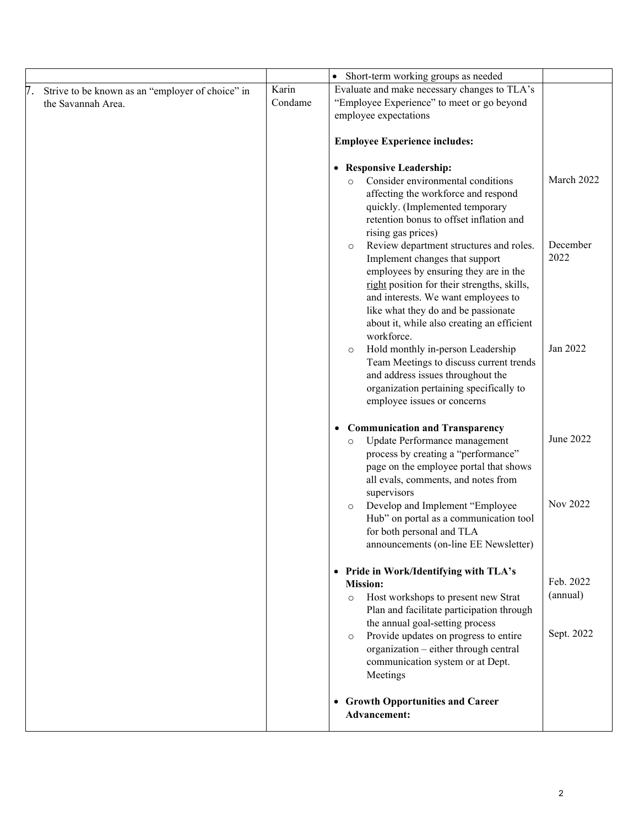|                                                  |         | Short-term working groups as needed<br>$\bullet$                                   |            |
|--------------------------------------------------|---------|------------------------------------------------------------------------------------|------------|
| Strive to be known as an "employer of choice" in | Karin   | Evaluate and make necessary changes to TLA's                                       |            |
| the Savannah Area.                               | Condame | "Employee Experience" to meet or go beyond                                         |            |
|                                                  |         | employee expectations                                                              |            |
|                                                  |         |                                                                                    |            |
|                                                  |         | <b>Employee Experience includes:</b>                                               |            |
|                                                  |         | • Responsive Leadership:                                                           |            |
|                                                  |         | Consider environmental conditions<br>$\Omega$                                      | March 2022 |
|                                                  |         | affecting the workforce and respond                                                |            |
|                                                  |         | quickly. (Implemented temporary                                                    |            |
|                                                  |         | retention bonus to offset inflation and                                            |            |
|                                                  |         | rising gas prices)                                                                 |            |
|                                                  |         | Review department structures and roles.<br>$\circ$                                 | December   |
|                                                  |         | Implement changes that support                                                     | 2022       |
|                                                  |         | employees by ensuring they are in the                                              |            |
|                                                  |         | right position for their strengths, skills,<br>and interests. We want employees to |            |
|                                                  |         | like what they do and be passionate                                                |            |
|                                                  |         | about it, while also creating an efficient                                         |            |
|                                                  |         | workforce.                                                                         |            |
|                                                  |         | Hold monthly in-person Leadership<br>$\circ$                                       | Jan 2022   |
|                                                  |         | Team Meetings to discuss current trends                                            |            |
|                                                  |         | and address issues throughout the                                                  |            |
|                                                  |         | organization pertaining specifically to                                            |            |
|                                                  |         | employee issues or concerns                                                        |            |
|                                                  |         | <b>Communication and Transparency</b><br>$\bullet$                                 |            |
|                                                  |         | Update Performance management<br>$\circ$                                           | June 2022  |
|                                                  |         | process by creating a "performance"                                                |            |
|                                                  |         | page on the employee portal that shows                                             |            |
|                                                  |         | all evals, comments, and notes from                                                |            |
|                                                  |         | supervisors                                                                        |            |
|                                                  |         | Develop and Implement "Employee<br>$\circ$                                         | Nov 2022   |
|                                                  |         | Hub" on portal as a communication tool                                             |            |
|                                                  |         | for both personal and TLA<br>announcements (on-line EE Newsletter)                 |            |
|                                                  |         |                                                                                    |            |
|                                                  |         | • Pride in Work/Identifying with TLA's                                             |            |
|                                                  |         | <b>Mission:</b>                                                                    | Feb. 2022  |
|                                                  |         | Host workshops to present new Strat<br>$\circ$                                     | (annual)   |
|                                                  |         | Plan and facilitate participation through                                          |            |
|                                                  |         | the annual goal-setting process                                                    |            |
|                                                  |         | Provide updates on progress to entire<br>$\circ$                                   | Sept. 2022 |
|                                                  |         | organization - either through central                                              |            |
|                                                  |         | communication system or at Dept.<br>Meetings                                       |            |
|                                                  |         |                                                                                    |            |
|                                                  |         | • Growth Opportunities and Career                                                  |            |
|                                                  |         | <b>Advancement:</b>                                                                |            |
|                                                  |         |                                                                                    |            |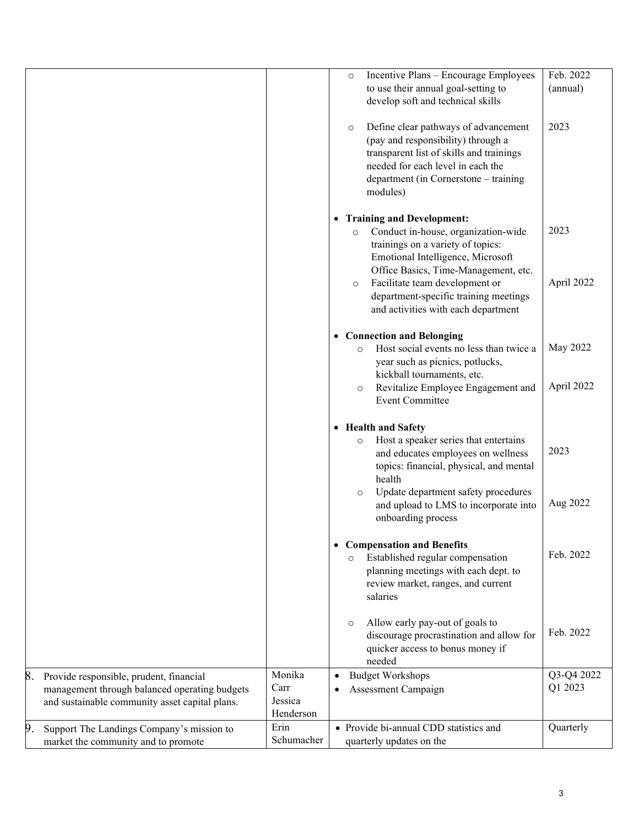|                                                                                                                                                  |                                        | Incentive Plans - Encourage Employees<br>$\circ$<br>to use their annual goal-setting to<br>develop soft and technical skills                                                                                                           | Feb. 2022<br>(annual) |
|--------------------------------------------------------------------------------------------------------------------------------------------------|----------------------------------------|----------------------------------------------------------------------------------------------------------------------------------------------------------------------------------------------------------------------------------------|-----------------------|
|                                                                                                                                                  |                                        | Define clear pathways of advancement<br>$\circ$<br>(pay and responsibility) through a<br>transparent list of skills and trainings<br>needed for each level in each the<br>department (in Cornerstone - training<br>modules)            | 2023                  |
|                                                                                                                                                  |                                        | • Training and Development:<br>Conduct in-house, organization-wide<br>$\circ$<br>trainings on a variety of topics:<br>Emotional Intelligence, Microsoft                                                                                | 2023                  |
|                                                                                                                                                  |                                        | Office Basics, Time-Management, etc.<br>Facilitate team development or<br>$\circ$<br>department-specific training meetings<br>and activities with each department                                                                      | April 2022            |
|                                                                                                                                                  |                                        | <b>Connection and Belonging</b><br>$\bullet$<br>Host social events no less than twice a<br>$\circ$<br>year such as picnics, potlucks,                                                                                                  | May 2022              |
|                                                                                                                                                  |                                        | kickball tournaments, etc.<br>Revitalize Employee Engagement and<br>$\circ$<br><b>Event Committee</b>                                                                                                                                  | April 2022            |
|                                                                                                                                                  |                                        | <b>Health and Safety</b><br>$\bullet$<br>Host a speaker series that entertains<br>$\circ$<br>and educates employees on wellness<br>topics: financial, physical, and mental<br>health<br>Update department safety procedures<br>$\circ$ | 2023                  |
|                                                                                                                                                  |                                        | and upload to LMS to incorporate into<br>onboarding process                                                                                                                                                                            | Aug 2022              |
|                                                                                                                                                  |                                        | <b>Compensation and Benefits</b><br>$\bullet$<br>Established regular compensation<br>$\circ$<br>planning meetings with each dept. to<br>review market, ranges, and current<br>salaries                                                 | Feb. 2022             |
|                                                                                                                                                  |                                        | Allow early pay-out of goals to<br>$\circ$<br>discourage procrastination and allow for<br>quicker access to bonus money if<br>needed                                                                                                   | Feb. 2022             |
| 8.<br>Provide responsible, prudent, financial<br>management through balanced operating budgets<br>and sustainable community asset capital plans. | Monika<br>Carr<br>Jessica<br>Henderson | <b>Budget Workshops</b><br>Assessment Campaign                                                                                                                                                                                         | Q3-Q4 2022<br>Q1 2023 |
| 9.<br>Support The Landings Company's mission to<br>market the community and to promote                                                           | Erin<br>Schumacher                     | • Provide bi-annual CDD statistics and<br>quarterly updates on the                                                                                                                                                                     | Quarterly             |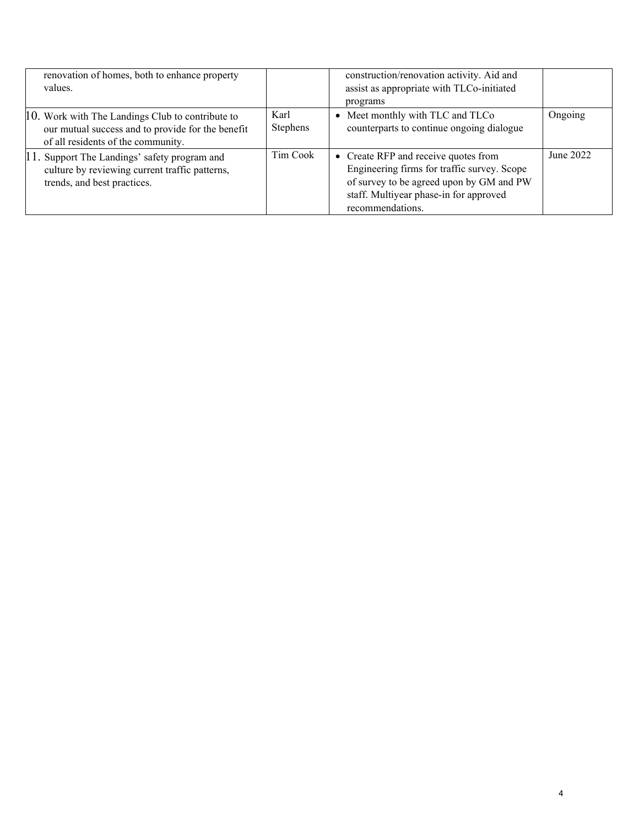| renovation of homes, both to enhance property<br>values.                                                                                       |                  | construction/renovation activity. Aid and<br>assist as appropriate with TLCo-initiated<br>programs                                                                                            |           |
|------------------------------------------------------------------------------------------------------------------------------------------------|------------------|-----------------------------------------------------------------------------------------------------------------------------------------------------------------------------------------------|-----------|
| $[10.$ Work with The Landings Club to contribute to<br>our mutual success and to provide for the benefit<br>of all residents of the community. | Karl<br>Stephens | • Meet monthly with TLC and TLCo<br>counterparts to continue ongoing dialogue                                                                                                                 | Ongoing   |
| 11. Support The Landings' safety program and<br>culture by reviewing current traffic patterns,<br>trends, and best practices.                  | Tim Cook         | • Create RFP and receive quotes from<br>Engineering firms for traffic survey. Scope<br>of survey to be agreed upon by GM and PW<br>staff. Multiyear phase-in for approved<br>recommendations. | June 2022 |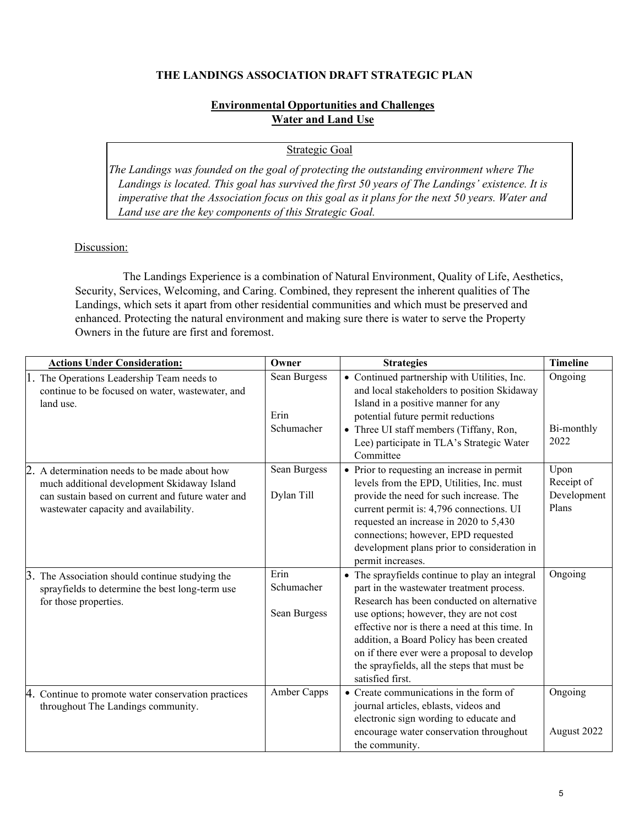# **Environmental Opportunities and Challenges Water and Land Use**

Strategic Goal

*The Landings was founded on the goal of protecting the outstanding environment where The Landings is located. This goal has survived the first 50 years of The Landings' existence. It is imperative that the Association focus on this goal as it plans for the next 50 years. Water and Land use are the key components of this Strategic Goal.* 

#### Discussion:

The Landings Experience is a combination of Natural Environment, Quality of Life, Aesthetics, Security, Services, Welcoming, and Caring. Combined, they represent the inherent qualities of The Landings, which sets it apart from other residential communities and which must be preserved and enhanced. Protecting the natural environment and making sure there is water to serve the Property Owners in the future are first and foremost.

| <b>Actions Under Consideration:</b>                                                                                                                                                        | Owner                              | <b>Strategies</b>                                                                                                                                                                                                                                                                                                                                                                                     | <b>Timeline</b>                            |
|--------------------------------------------------------------------------------------------------------------------------------------------------------------------------------------------|------------------------------------|-------------------------------------------------------------------------------------------------------------------------------------------------------------------------------------------------------------------------------------------------------------------------------------------------------------------------------------------------------------------------------------------------------|--------------------------------------------|
| 1. The Operations Leadership Team needs to<br>continue to be focused on water, wastewater, and<br>land use.                                                                                | Sean Burgess<br>Erin<br>Schumacher | • Continued partnership with Utilities, Inc.<br>and local stakeholders to position Skidaway<br>Island in a positive manner for any<br>potential future permit reductions<br>• Three UI staff members (Tiffany, Ron,<br>Lee) participate in TLA's Strategic Water<br>Committee                                                                                                                         | Ongoing<br>Bi-monthly<br>2022              |
| 2. A determination needs to be made about how<br>much additional development Skidaway Island<br>can sustain based on current and future water and<br>wastewater capacity and availability. | Sean Burgess<br>Dylan Till         | • Prior to requesting an increase in permit<br>levels from the EPD, Utilities, Inc. must<br>provide the need for such increase. The<br>current permit is: 4,796 connections. UI<br>requested an increase in 2020 to 5,430<br>connections; however, EPD requested<br>development plans prior to consideration in<br>permit increases.                                                                  | Upon<br>Receipt of<br>Development<br>Plans |
| $\beta$ . The Association should continue studying the<br>sprayfields to determine the best long-term use<br>for those properties.                                                         | Erin<br>Schumacher<br>Sean Burgess | • The sprayfields continue to play an integral<br>part in the wastewater treatment process.<br>Research has been conducted on alternative<br>use options; however, they are not cost<br>effective nor is there a need at this time. In<br>addition, a Board Policy has been created<br>on if there ever were a proposal to develop<br>the sprayfields, all the steps that must be<br>satisfied first. | Ongoing                                    |
| 4. Continue to promote water conservation practices<br>throughout The Landings community.                                                                                                  | Amber Capps                        | • Create communications in the form of<br>journal articles, eblasts, videos and<br>electronic sign wording to educate and<br>encourage water conservation throughout<br>the community.                                                                                                                                                                                                                | Ongoing<br>August 2022                     |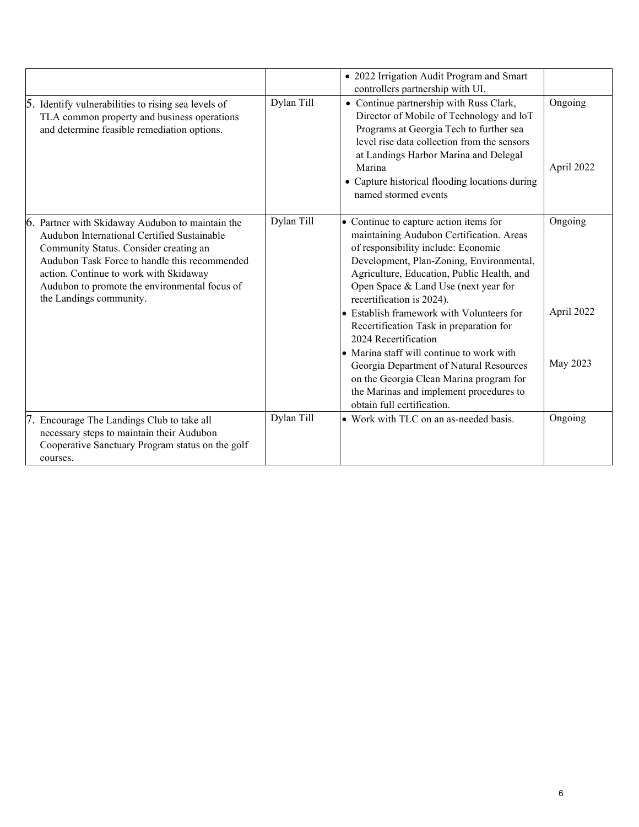|                                                                                                                                                                                                                                                                                                                  |            | · 2022 Irrigation Audit Program and Smart<br>controllers partnership with UI.                                                                                                                                                                                                                                                                                                                                                                                                                                                                                                                                        |                                   |
|------------------------------------------------------------------------------------------------------------------------------------------------------------------------------------------------------------------------------------------------------------------------------------------------------------------|------------|----------------------------------------------------------------------------------------------------------------------------------------------------------------------------------------------------------------------------------------------------------------------------------------------------------------------------------------------------------------------------------------------------------------------------------------------------------------------------------------------------------------------------------------------------------------------------------------------------------------------|-----------------------------------|
| 5. Identify vulnerabilities to rising sea levels of<br>TLA common property and business operations<br>and determine feasible remediation options.                                                                                                                                                                | Dylan Till | • Continue partnership with Russ Clark,<br>Director of Mobile of Technology and loT<br>Programs at Georgia Tech to further sea<br>level rise data collection from the sensors<br>at Landings Harbor Marina and Delegal<br>Marina<br>• Capture historical flooding locations during<br>named stormed events                                                                                                                                                                                                                                                                                                           | Ongoing<br>April 2022             |
| 6. Partner with Skidaway Audubon to maintain the<br>Audubon International Certified Sustainable<br>Community Status. Consider creating an<br>Audubon Task Force to handle this recommended<br>action. Continue to work with Skidaway<br>Audubon to promote the environmental focus of<br>the Landings community. | Dylan Till | • Continue to capture action items for<br>maintaining Audubon Certification. Areas<br>of responsibility include: Economic<br>Development, Plan-Zoning, Environmental,<br>Agriculture, Education, Public Health, and<br>Open Space & Land Use (next year for<br>recertification is 2024).<br>• Establish framework with Volunteers for<br>Recertification Task in preparation for<br>2024 Recertification<br>• Marina staff will continue to work with<br>Georgia Department of Natural Resources<br>on the Georgia Clean Marina program for<br>the Marinas and implement procedures to<br>obtain full certification. | Ongoing<br>April 2022<br>May 2023 |
| 7. Encourage The Landings Club to take all<br>necessary steps to maintain their Audubon<br>Cooperative Sanctuary Program status on the golf<br>courses.                                                                                                                                                          | Dylan Till | • Work with TLC on an as-needed basis.                                                                                                                                                                                                                                                                                                                                                                                                                                                                                                                                                                               | Ongoing                           |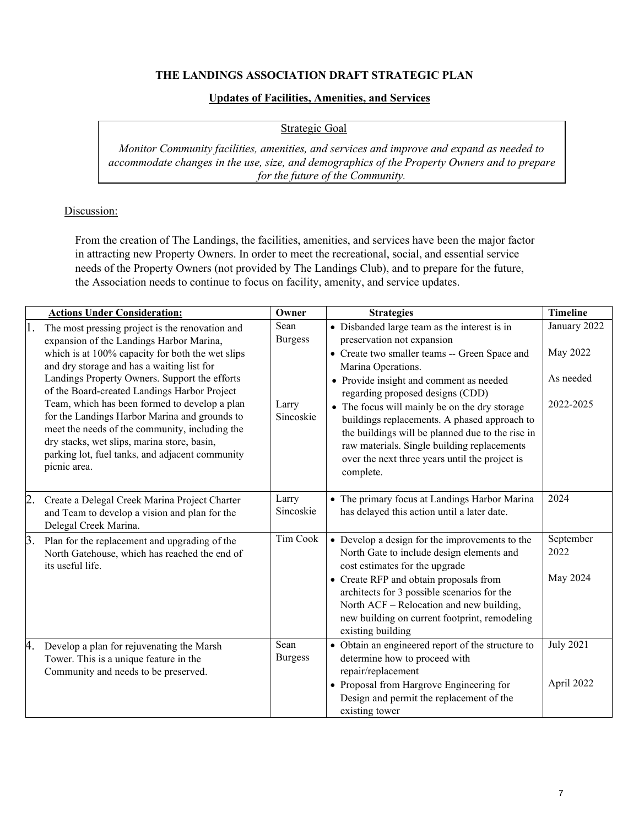# **Updates of Facilities, Amenities, and Services**

Strategic Goal

*Monitor Community facilities, amenities, and services and improve and expand as needed to accommodate changes in the use, size, and demographics of the Property Owners and to prepare for the future of the Community.* 

Discussion:

From the creation of The Landings, the facilities, amenities, and services have been the major factor in attracting new Property Owners. In order to meet the recreational, social, and essential service needs of the Property Owners (not provided by The Landings Club), and to prepare for the future, the Association needs to continue to focus on facility, amenity, and service updates.

|    | <b>Actions Under Consideration:</b>                                                                                                                                                                                                                                                                                                             | Owner                           | <b>Strategies</b>                                                                                                                                                                                                                                                                                                                        | <b>Timeline</b>                                    |
|----|-------------------------------------------------------------------------------------------------------------------------------------------------------------------------------------------------------------------------------------------------------------------------------------------------------------------------------------------------|---------------------------------|------------------------------------------------------------------------------------------------------------------------------------------------------------------------------------------------------------------------------------------------------------------------------------------------------------------------------------------|----------------------------------------------------|
| Ι. | The most pressing project is the renovation and<br>expansion of the Landings Harbor Marina,<br>which is at 100% capacity for both the wet slips<br>and dry storage and has a waiting list for<br>Landings Property Owners. Support the efforts<br>of the Board-created Landings Harbor Project<br>Team, which has been formed to develop a plan | Sean<br><b>Burgess</b><br>Larry | • Disbanded large team as the interest is in<br>preservation not expansion<br>• Create two smaller teams -- Green Space and<br>Marina Operations.<br>• Provide insight and comment as needed<br>regarding proposed designs (CDD)                                                                                                         | January 2022<br>May 2022<br>As needed<br>2022-2025 |
|    | for the Landings Harbor Marina and grounds to<br>meet the needs of the community, including the<br>dry stacks, wet slips, marina store, basin,<br>parking lot, fuel tanks, and adjacent community<br>picnic area.                                                                                                                               | Sincoskie                       | • The focus will mainly be on the dry storage<br>buildings replacements. A phased approach to<br>the buildings will be planned due to the rise in<br>raw materials. Single building replacements<br>over the next three years until the project is<br>complete.                                                                          |                                                    |
| 2. | Create a Delegal Creek Marina Project Charter<br>and Team to develop a vision and plan for the<br>Delegal Creek Marina.                                                                                                                                                                                                                         | Larry<br>Sincoskie              | • The primary focus at Landings Harbor Marina<br>has delayed this action until a later date.                                                                                                                                                                                                                                             | 2024                                               |
| 3. | Plan for the replacement and upgrading of the<br>North Gatehouse, which has reached the end of<br>its useful life.                                                                                                                                                                                                                              | Tim Cook                        | • Develop a design for the improvements to the<br>North Gate to include design elements and<br>cost estimates for the upgrade<br>• Create RFP and obtain proposals from<br>architects for 3 possible scenarios for the<br>North ACF – Relocation and new building,<br>new building on current footprint, remodeling<br>existing building | September<br>2022<br>May 2024                      |
| 4. | Develop a plan for rejuvenating the Marsh<br>Tower. This is a unique feature in the<br>Community and needs to be preserved.                                                                                                                                                                                                                     | Sean<br><b>Burgess</b>          | • Obtain an engineered report of the structure to<br>determine how to proceed with<br>repair/replacement<br>• Proposal from Hargrove Engineering for<br>Design and permit the replacement of the<br>existing tower                                                                                                                       | <b>July 2021</b><br>April 2022                     |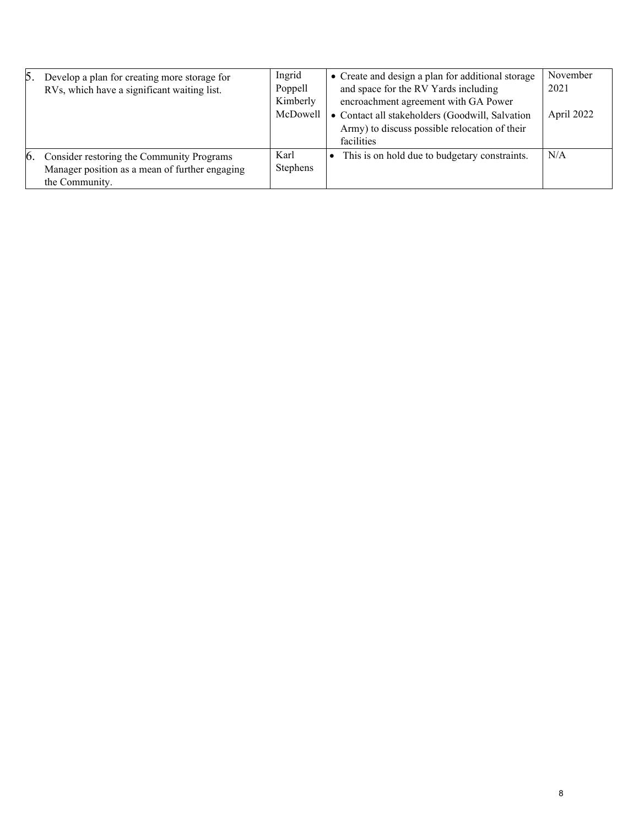| Ď. | Develop a plan for creating more storage for<br>RVs, which have a significant waiting list.                   | Ingrid<br>Poppell<br>Kimberly<br>McDowell | • Create and design a plan for additional storage<br>and space for the RV Yards including<br>encroachment agreement with GA Power<br>• Contact all stakeholders (Goodwill, Salvation<br>Army) to discuss possible relocation of their<br>facilities | November<br>2021<br>April 2022 |
|----|---------------------------------------------------------------------------------------------------------------|-------------------------------------------|-----------------------------------------------------------------------------------------------------------------------------------------------------------------------------------------------------------------------------------------------------|--------------------------------|
| 6. | Consider restoring the Community Programs<br>Manager position as a mean of further engaging<br>the Community. | Karl<br>Stephens                          | This is on hold due to budgetary constraints.                                                                                                                                                                                                       | N/A                            |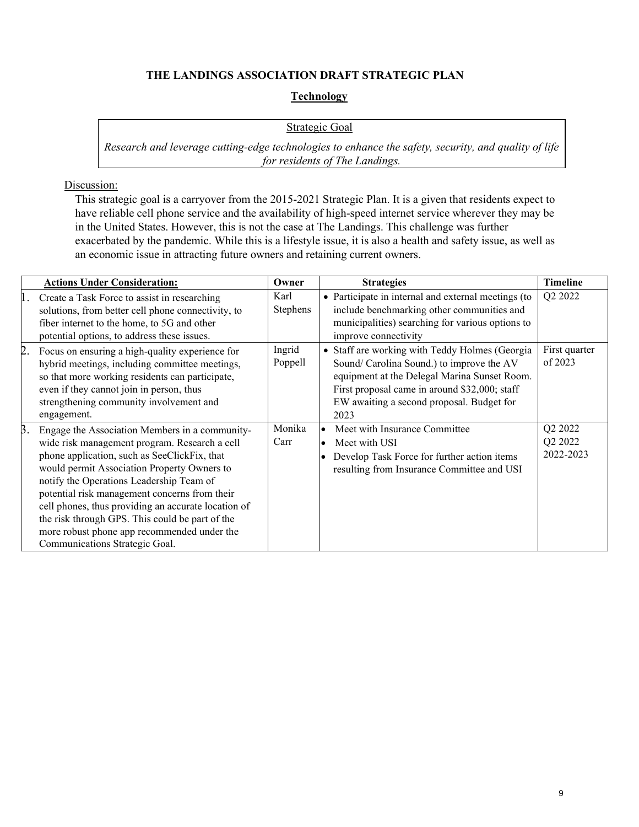#### **Technology**

#### Strategic Goal

*Research and leverage cutting-edge technologies to enhance the safety, security, and quality of life for residents of The Landings.* 

Discussion:

This strategic goal is a carryover from the 2015-2021 Strategic Plan. It is a given that residents expect to have reliable cell phone service and the availability of high-speed internet service wherever they may be in the United States. However, this is not the case at The Landings. This challenge was further exacerbated by the pandemic. While this is a lifestyle issue, it is also a health and safety issue, as well as an economic issue in attracting future owners and retaining current owners.

|    | <b>Actions Under Consideration:</b>                                                                                                                                                                                                                                                                                                                                                                                                                                                    | Owner             | <b>Strategies</b>                                                                                                                                                                                                                                 | <b>Timeline</b>                 |
|----|----------------------------------------------------------------------------------------------------------------------------------------------------------------------------------------------------------------------------------------------------------------------------------------------------------------------------------------------------------------------------------------------------------------------------------------------------------------------------------------|-------------------|---------------------------------------------------------------------------------------------------------------------------------------------------------------------------------------------------------------------------------------------------|---------------------------------|
| Π. | Create a Task Force to assist in researching<br>solutions, from better cell phone connectivity, to<br>fiber internet to the home, to 5G and other<br>potential options, to address these issues.                                                                                                                                                                                                                                                                                       | Karl<br>Stephens  | • Participate in internal and external meetings (to<br>include benchmarking other communities and<br>municipalities) searching for various options to<br>improve connectivity                                                                     | Q2 2022                         |
| 2. | Focus on ensuring a high-quality experience for<br>hybrid meetings, including committee meetings,<br>so that more working residents can participate,<br>even if they cannot join in person, thus<br>strengthening community involvement and<br>engagement.                                                                                                                                                                                                                             | Ingrid<br>Poppell | • Staff are working with Teddy Holmes (Georgia<br>Sound/ Carolina Sound.) to improve the AV<br>equipment at the Delegal Marina Sunset Room.<br>First proposal came in around \$32,000; staff<br>EW awaiting a second proposal. Budget for<br>2023 | First quarter<br>of 2023        |
| Β. | Engage the Association Members in a community-<br>wide risk management program. Research a cell<br>phone application, such as SeeClickFix, that<br>would permit Association Property Owners to<br>notify the Operations Leadership Team of<br>potential risk management concerns from their<br>cell phones, thus providing an accurate location of<br>the risk through GPS. This could be part of the<br>more robust phone app recommended under the<br>Communications Strategic Goal. | Monika<br>Carr    | Meet with Insurance Committee<br>Meet with USI<br>$\bullet$<br>Develop Task Force for further action items<br>resulting from Insurance Committee and USI                                                                                          | Q2 2022<br>Q2 2022<br>2022-2023 |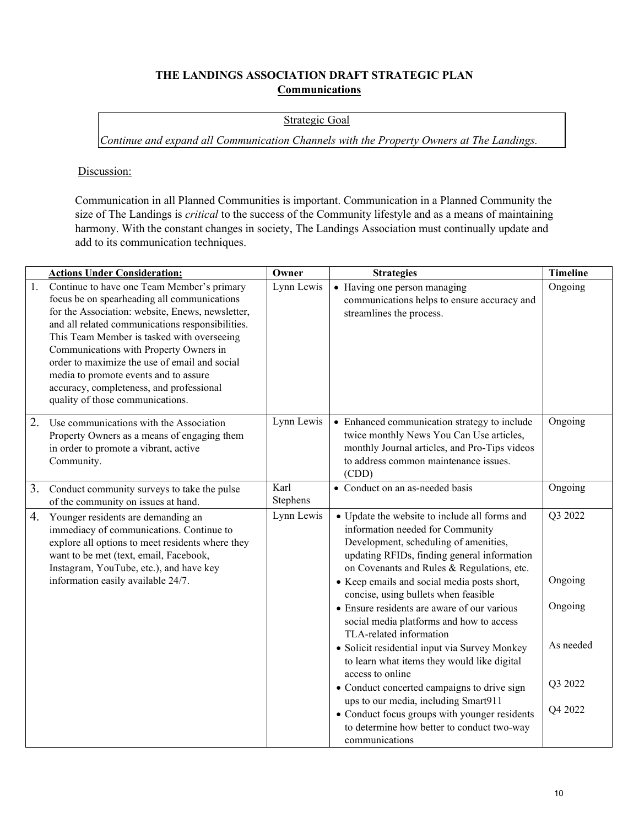# **THE LANDINGS ASSOCIATION DRAFT STRATEGIC PLAN Communications**

Strategic Goal

*Continue and expand all Communication Channels with the Property Owners at The Landings.* 

Discussion:

Communication in all Planned Communities is important. Communication in a Planned Community the size of The Landings is *critical* to the success of the Community lifestyle and as a means of maintaining harmony. With the constant changes in society, The Landings Association must continually update and add to its communication techniques.

|    | <b>Actions Under Consideration:</b>                                                                                                                                                                                                                                                                                                                                                                                                                                 | Owner            | <b>Strategies</b>                                                                                                                                                                                                                                                                                              | <b>Timeline</b>      |
|----|---------------------------------------------------------------------------------------------------------------------------------------------------------------------------------------------------------------------------------------------------------------------------------------------------------------------------------------------------------------------------------------------------------------------------------------------------------------------|------------------|----------------------------------------------------------------------------------------------------------------------------------------------------------------------------------------------------------------------------------------------------------------------------------------------------------------|----------------------|
| 1. | Continue to have one Team Member's primary<br>focus be on spearheading all communications<br>for the Association: website, Enews, newsletter,<br>and all related communications responsibilities.<br>This Team Member is tasked with overseeing<br>Communications with Property Owners in<br>order to maximize the use of email and social<br>media to promote events and to assure<br>accuracy, completeness, and professional<br>quality of those communications. | Lynn Lewis       | • Having one person managing<br>communications helps to ensure accuracy and<br>streamlines the process.                                                                                                                                                                                                        | Ongoing              |
| 2. | Use communications with the Association<br>Property Owners as a means of engaging them<br>in order to promote a vibrant, active<br>Community.                                                                                                                                                                                                                                                                                                                       | Lynn Lewis       | • Enhanced communication strategy to include<br>twice monthly News You Can Use articles,<br>monthly Journal articles, and Pro-Tips videos<br>to address common maintenance issues.<br>(CDD)                                                                                                                    | Ongoing              |
| 3. | Conduct community surveys to take the pulse<br>of the community on issues at hand.                                                                                                                                                                                                                                                                                                                                                                                  | Karl<br>Stephens | • Conduct on an as-needed basis                                                                                                                                                                                                                                                                                | Ongoing              |
| 4. | Younger residents are demanding an<br>immediacy of communications. Continue to<br>explore all options to meet residents where they<br>want to be met (text, email, Facebook,<br>Instagram, YouTube, etc.), and have key<br>information easily available 24/7.                                                                                                                                                                                                       | Lynn Lewis       | • Update the website to include all forms and<br>information needed for Community<br>Development, scheduling of amenities,<br>updating RFIDs, finding general information<br>on Covenants and Rules & Regulations, etc.<br>• Keep emails and social media posts short,<br>concise, using bullets when feasible | Q3 2022<br>Ongoing   |
|    |                                                                                                                                                                                                                                                                                                                                                                                                                                                                     |                  | • Ensure residents are aware of our various<br>social media platforms and how to access<br>TLA-related information<br>· Solicit residential input via Survey Monkey<br>to learn what items they would like digital<br>access to online                                                                         | Ongoing<br>As needed |
|    |                                                                                                                                                                                                                                                                                                                                                                                                                                                                     |                  | • Conduct concerted campaigns to drive sign<br>ups to our media, including Smart911<br>• Conduct focus groups with younger residents<br>to determine how better to conduct two-way<br>communications                                                                                                           | Q3 2022<br>Q4 2022   |